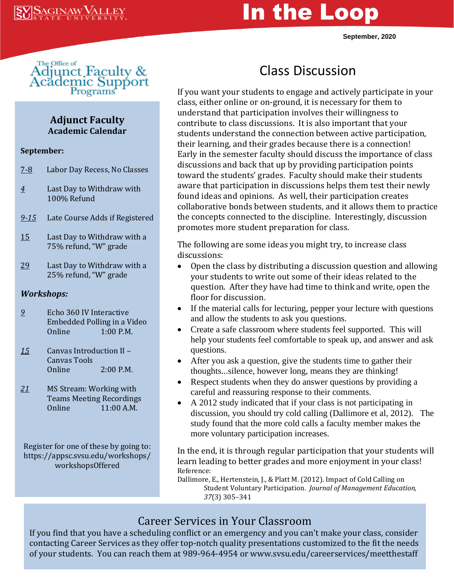# In the Loop

**September, 2020**



### **Adjunct Faculty Academic Calendar**

#### **September:**

- 7-8 Labor Day Recess, No Classes
- *4* Last Day to Withdraw with 100% Refund
- *9-15* Late Course Adds if Registered
- 15 Last Day to Withdraw with a 75% refund, "W" grade
- 29 Last Day to Withdraw with a 25% refund, "W" grade

### *Workshops:*

- *9* Echo 360 IV Interactive Embedded Polling in a Video Online 1:00 P.M.
- *15* Canvas Introduction II Canvas Tools Online 2:00 P.M.
- *21* MS Stream: Working with Teams Meeting Recordings Online 11:00 A.M.

Register for one of these by going to: https://appsc.svsu.edu/workshops/ workshopsOffered

# Class Discussion

If you want your students to engage and actively participate in your class, either online or on-ground, it is necessary for them to understand that participation involves their willingness to contribute to class discussions. It is also important that your students understand the connection between active participation, their learning, and their grades because there is a connection! Early in the semester faculty should discuss the importance of class discussions and back that up by providing participation points toward the students' grades. Faculty should make their students aware that participation in discussions helps them test their newly found ideas and opinions. As well, their participation creates collaborative bonds between students, and it allows them to practice the concepts connected to the discipline. Interestingly, discussion promotes more student preparation for class.

The following are some ideas you might try, to increase class discussions:

- Open the class by distributing a discussion question and allowing your students to write out some of their ideas related to the question. After they have had time to think and write, open the floor for discussion.
- If the material calls for lecturing, pepper your lecture with questions and allow the students to ask you questions.
- Create a safe classroom where students feel supported. This will help your students feel comfortable to speak up, and answer and ask questions.
- After you ask a question, give the students time to gather their thoughts...silence, however long, means they are thinking!
- Respect students when they do answer questions by providing a careful and reassuring response to their comments.
- A 2012 study indicated that if your class is not participating in discussion, you should try cold calling (Dallimore et al, 2012). The study found that the more cold calls a faculty member makes the more voluntary participation increases.

In the end, it is through regular participation that your students will learn leading to better grades and more enjoyment in your class! Reference:

Dallimore, E., Hertenstein, J., & Platt M. (2012). Impact of Cold Calling on Student Voluntary Participation. *Journal of Management Education, 37*(3) 305–341

### Career Services in Your Classroom

If you find that you have a scheduling conflict or an emergency and you can't make your class, consider contacting Career Services as they offer top-notch quality presentations customized to the fit the needs of your students. You can reach them at 989-964-4954 or www.svsu.edu/careerservices/meetthestaff